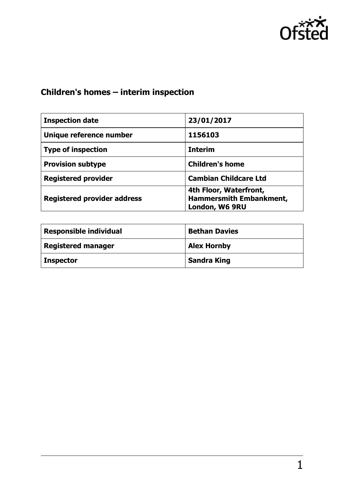

# **Children's homes – interim inspection**

| <b>Inspection date</b>             | 23/01/2017                                                          |
|------------------------------------|---------------------------------------------------------------------|
| Unique reference number            | 1156103                                                             |
| <b>Type of inspection</b>          | <b>Interim</b>                                                      |
| <b>Provision subtype</b>           | <b>Children's home</b>                                              |
| <b>Registered provider</b>         | <b>Cambian Childcare Ltd</b>                                        |
| <b>Registered provider address</b> | 4th Floor, Waterfront,<br>Hammersmith Embankment,<br>London, W6 9RU |

| <b>Responsible individual</b> | <b>Bethan Davies</b> |
|-------------------------------|----------------------|
| <b>Registered manager</b>     | <b>Alex Hornby</b>   |
| <b>Inspector</b>              | <b>Sandra King</b>   |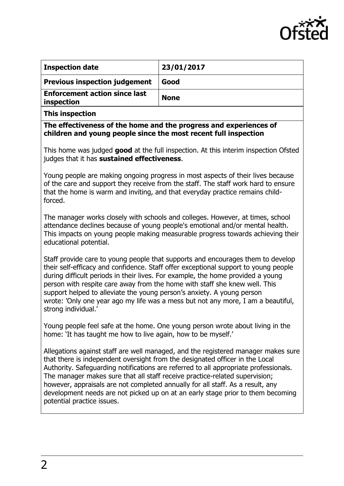

| <b>Inspection date</b>                             | 23/01/2017  |
|----------------------------------------------------|-------------|
| <b>Previous inspection judgement</b>               | Good        |
| <b>Enforcement action since last</b><br>inspection | <b>None</b> |

**This inspection**

**The effectiveness of the home and the progress and experiences of children and young people since the most recent full inspection**

This home was judged **good** at the full inspection. At this interim inspection Ofsted judges that it has **sustained effectiveness**.

Young people are making ongoing progress in most aspects of their lives because of the care and support they receive from the staff. The staff work hard to ensure that the home is warm and inviting, and that everyday practice remains childforced.

The manager works closely with schools and colleges. However, at times, school attendance declines because of young people's emotional and/or mental health. This impacts on young people making measurable progress towards achieving their educational potential.

Staff provide care to young people that supports and encourages them to develop their self-efficacy and confidence. Staff offer exceptional support to young people during difficult periods in their lives. For example, the home provided a young person with respite care away from the home with staff she knew well. This support helped to alleviate the young person's anxiety. A young person wrote: 'Only one year ago my life was a mess but not any more, I am a beautiful, strong individual.'

Young people feel safe at the home. One young person wrote about living in the home: 'It has taught me how to live again, how to be myself.'

Allegations against staff are well managed, and the registered manager makes sure that there is independent oversight from the designated officer in the Local Authority. Safeguarding notifications are referred to all appropriate professionals. The manager makes sure that all staff receive practice-related supervision; however, appraisals are not completed annually for all staff. As a result, any development needs are not picked up on at an early stage prior to them becoming potential practice issues.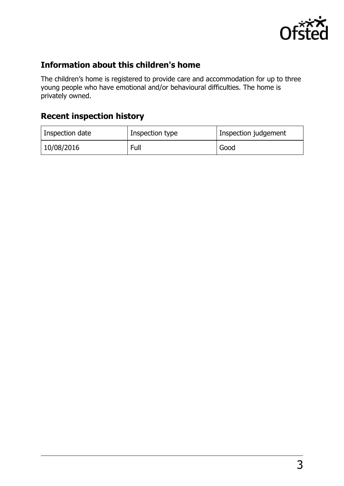

### **Information about this children's home**

The children's home is registered to provide care and accommodation for up to three young people who have emotional and/or behavioural difficulties. The home is privately owned.

## **Recent inspection history**

| Inspection date | Inspection type | Inspection judgement |
|-----------------|-----------------|----------------------|
| 10/08/2016      | Full            | Good                 |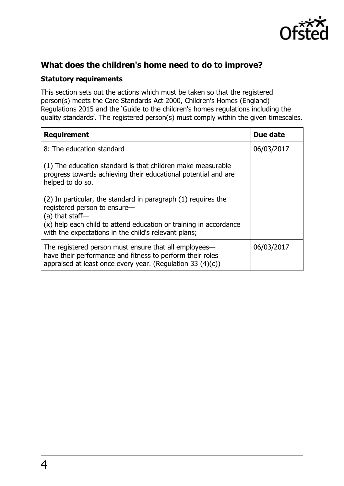

### **What does the children's home need to do to improve?**

#### **Statutory requirements**

This section sets out the actions which must be taken so that the registered person(s) meets the Care Standards Act 2000, Children's Homes (England) Regulations 2015 and the 'Guide to the children's homes regulations including the quality standards'. The registered person(s) must comply within the given timescales.

| <b>Requirement</b>                                                                                                                                                                                                                              | Due date   |
|-------------------------------------------------------------------------------------------------------------------------------------------------------------------------------------------------------------------------------------------------|------------|
| 8: The education standard                                                                                                                                                                                                                       | 06/03/2017 |
| (1) The education standard is that children make measurable<br>progress towards achieving their educational potential and are<br>helped to do so.                                                                                               |            |
| (2) In particular, the standard in paragraph (1) requires the<br>registered person to ensure-<br>$(a)$ that staff-<br>(x) help each child to attend education or training in accordance<br>with the expectations in the child's relevant plans; |            |
| The registered person must ensure that all employees—<br>have their performance and fitness to perform their roles<br>appraised at least once every year. (Regulation 33 $(4)(c)$ )                                                             | 06/03/2017 |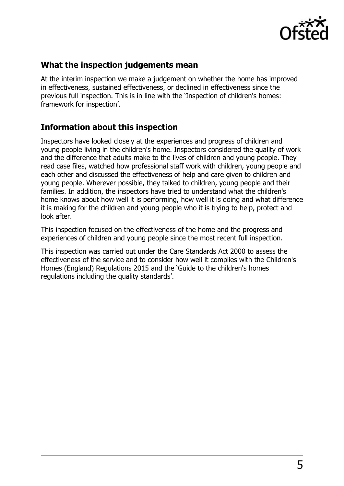

#### **What the inspection judgements mean**

At the interim inspection we make a judgement on whether the home has improved in effectiveness, sustained effectiveness, or declined in effectiveness since the previous full inspection. This is in line with the 'Inspection of children's homes: framework for inspection'.

#### **Information about this inspection**

Inspectors have looked closely at the experiences and progress of children and young people living in the children's home. Inspectors considered the quality of work and the difference that adults make to the lives of children and young people. They read case files, watched how professional staff work with children, young people and each other and discussed the effectiveness of help and care given to children and young people. Wherever possible, they talked to children, young people and their families. In addition, the inspectors have tried to understand what the children's home knows about how well it is performing, how well it is doing and what difference it is making for the children and young people who it is trying to help, protect and look after.

This inspection focused on the effectiveness of the home and the progress and experiences of children and young people since the most recent full inspection.

This inspection was carried out under the Care Standards Act 2000 to assess the effectiveness of the service and to consider how well it complies with the Children's Homes (England) Regulations 2015 and the 'Guide to the children's homes regulations including the quality standards'.